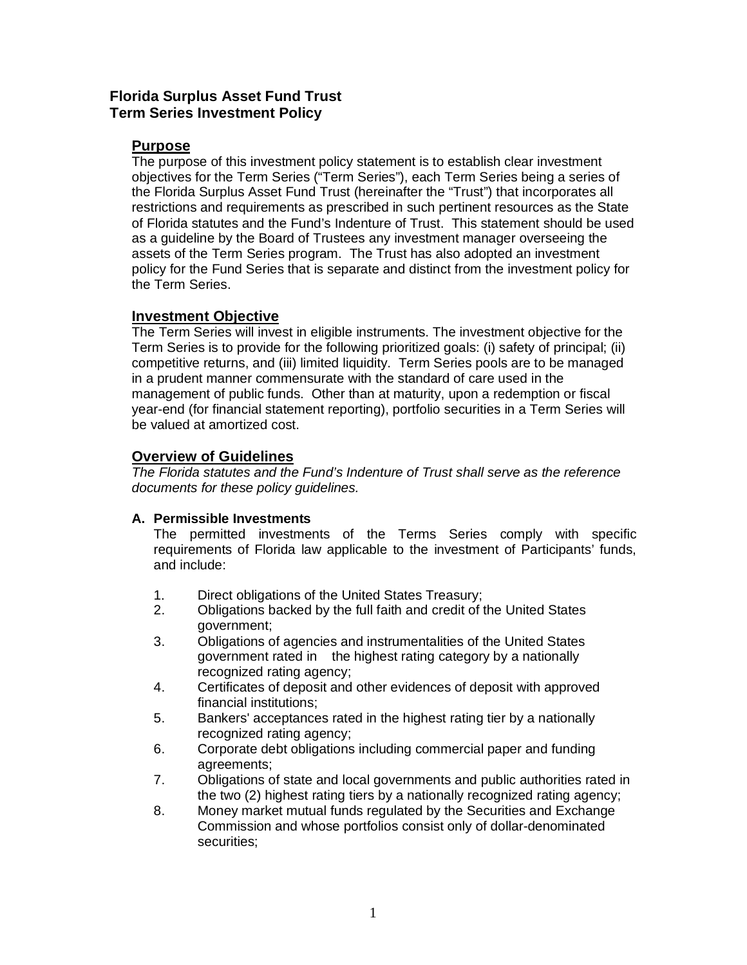# **Florida Surplus Asset Fund Trust Term Series Investment Policy**

# **Purpose**

The purpose of this investment policy statement is to establish clear investment objectives for the Term Series ("Term Series"), each Term Series being a series of the Florida Surplus Asset Fund Trust (hereinafter the "Trust") that incorporates all restrictions and requirements as prescribed in such pertinent resources as the State of Florida statutes and the Fund's Indenture of Trust. This statement should be used as a guideline by the Board of Trustees any investment manager overseeing the assets of the Term Series program. The Trust has also adopted an investment policy for the Fund Series that is separate and distinct from the investment policy for the Term Series.

# **Investment Objective**

The Term Series will invest in eligible instruments. The investment objective for the Term Series is to provide for the following prioritized goals: (i) safety of principal; (ii) competitive returns, and (iii) limited liquidity. Term Series pools are to be managed in a prudent manner commensurate with the standard of care used in the management of public funds. Other than at maturity, upon a redemption or fiscal year-end (for financial statement reporting), portfolio securities in a Term Series will be valued at amortized cost.

# **Overview of Guidelines**

The Florida statutes and the Fund's Indenture of Trust shall serve as the reference documents for these policy guidelines.

# **A. Permissible Investments**

The permitted investments of the Terms Series comply with specific requirements of Florida law applicable to the investment of Participants' funds, and include:

- 1. Direct obligations of the United States Treasury;
- 2. Obligations backed by the full faith and credit of the United States government;
- 3. Obligations of agencies and instrumentalities of the United States government rated in the highest rating category by a nationally recognized rating agency;
- 4. Certificates of deposit and other evidences of deposit with approved financial institutions;
- 5. Bankers' acceptances rated in the highest rating tier by a nationally recognized rating agency;
- 6. Corporate debt obligations including commercial paper and funding agreements;
- 7. Obligations of state and local governments and public authorities rated in the two (2) highest rating tiers by a nationally recognized rating agency;
- 8. Money market mutual funds regulated by the Securities and Exchange Commission and whose portfolios consist only of dollar-denominated securities;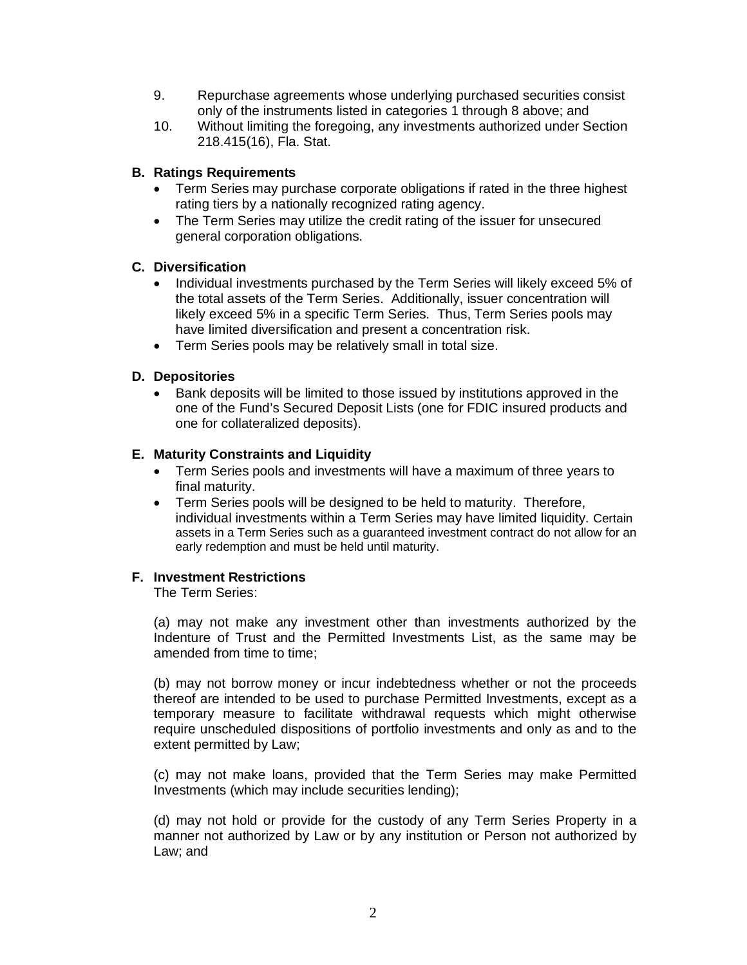- 9. Repurchase agreements whose underlying purchased securities consist only of the instruments listed in categories 1 through 8 above; and
- 10. Without limiting the foregoing, any investments authorized under Section 218.415(16), Fla. Stat.

# **B. Ratings Requirements**

- Term Series may purchase corporate obligations if rated in the three highest rating tiers by a nationally recognized rating agency.
- The Term Series may utilize the credit rating of the issuer for unsecured general corporation obligations.

## **C. Diversification**

- � Individual investments purchased by the Term Series will likely exceed 5% of the total assets of the Term Series. Additionally, issuer concentration will likely exceed 5% in a specific Term Series. Thus, Term Series pools may have limited diversification and present a concentration risk.
- Term Series pools may be relatively small in total size.

### **D. Depositories**

� Bank deposits will be limited to those issued by institutions approved in the one of the Fund's Secured Deposit Lists (one for FDIC insured products and one for collateralized deposits).

### **E. Maturity Constraints and Liquidity**

- � Term Series pools and investments will have a maximum of three years to final maturity.
- � Term Series pools will be designed to be held to maturity. Therefore, individual investments within a Term Series may have limited liquidity. Certain assets in a Term Series such as a guaranteed investment contract do not allow for an early redemption and must be held until maturity.

### **F. Investment Restrictions**

The Term Series:

(a) may not make any investment other than investments authorized by the Indenture of Trust and the Permitted Investments List, as the same may be amended from time to time:

(b) may not borrow money or incur indebtedness whether or not the proceeds thereof are intended to be used to purchase Permitted Investments, except as a temporary measure to facilitate withdrawal requests which might otherwise require unscheduled dispositions of portfolio investments and only as and to the extent permitted by Law;

(c) may not make loans, provided that the Term Series may make Permitted Investments (which may include securities lending);

(d) may not hold or provide for the custody of any Term Series Property in a manner not authorized by Law or by any institution or Person not authorized by Law; and